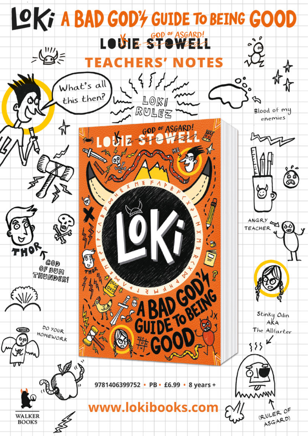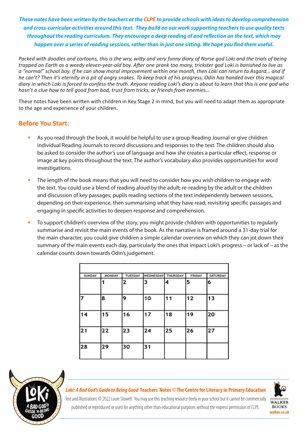*These notes have been written by the teachers at the CLPE to provide schools with ideas to develop comprehension and cross-curricular activities around this text. They build on our work supporting teachers to use quality texts throughout the reading curriculum. They encourage a deep reading of and reflection on the text, which may happen over a series of reading sessions, rather than in just one sitting. We hope you find them useful.*

*Packed with doodles and cartoons, this is the wry, witty and very funny diary of Norse god Loki and the trials of being trapped on Earth as a weedy eleven-year-old boy. After one prank too many, trickster god Loki is banished to live as a "normal" school boy. If he can show moral improvement within one month, then Loki can return to Asgard… and if he can't? Then it's eternity in a pit of angry snakes. To keep track of his progress, Odin has handed over this magical diary in which Loki is forced to confess the truth. Anyone reading Loki's diary is about to learn that this is one god who hasn't a clue how to tell good from bad, trust from tricks, or friends from enemies…*

These notes have been written with children in Key Stage 2 in mind, but you will need to adapt them as appropriate to the age and experience of your children.

### **Before You Start:**

- As you read through the book, it would be helpful to use a group Reading Journal or give children individual Reading Journals to record discussions and responses to the text. The children should also be asked to consider the author's use of language and how she creates a particular effect, response or image at key points throughout the text. The author's vocabulary also provides opportunities for word investigations.
- The length of the book means that you will need to consider how you wish children to engage with the text. You could use a blend of reading aloud by the adult; re-reading by the adult or the children and discussion of key passages; pupils reading sections of the text independently between sessions, depending on their experience, then summarising what they have read; revisiting specific passages and engaging in specific activities to deepen response and comprehension.
- To support children's overview of the story, you might provide children with opportunities to regularly summarise and revisit the main events of the book. As the narrative is framed around a 31-day trial for the main character, you could give children a simple calendar overview on which they can jot down their summary of the main events each day, particularly the ones that impact Loki's progress – or lack of – as the calendar counts down towards Odin's judgement.

| SUNDAY | <b>MONDAY</b> | TUESDAY | WEDNESDAY | THURSDAY | <b>FRIDAY</b> | <b>SATURDAY</b> |
|--------|---------------|---------|-----------|----------|---------------|-----------------|
|        |               | 2       | 3         | 4        | 5             | 6               |
|        | 8             | 19      | 10        | 11       | 12            | 13              |
|        | 15            | 16      | 17        | 18       | 19            | 20              |
| 21     | 22            | 23      | 24        | 25       | 26            | 27              |
| 28     | 29            | 30      | 31        |          |               |                 |



#### *Loki: A Bad God's Guide to Being Good* **Teachers' Notes** *©* **The Centre for Literacy in Primary Education**



Text and Illustrations © 2022 Louie Stowell. You may use this teaching resource freely in your school but it cannot be commercially published or reproduced or used for anything other than educational purposes without the express permission of CLPE.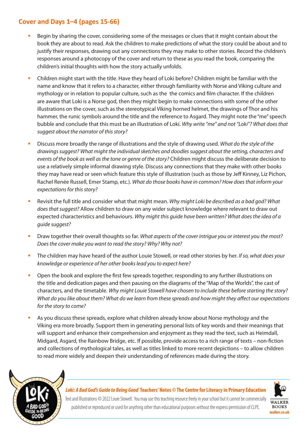## **Cover and Days 1–4 (pages 15-66)**

- Begin by sharing the cover, considering some of the messages or clues that it might contain about the book they are about to read. Ask the children to make predictions of what the story could be about and to justify their responses, drawing out any connections they may make to other stories. Record the children's responses around a photocopy of the cover and return to these as you read the book, comparing the children's initial thoughts with how the story actually unfolds.
- Children might start with the title. Have they heard of Loki before? Children might be familiar with the name and know that it refers to a character, either through familiarity with Norse and Viking culture and mythology or in relation to popular culture, such as the the comics and film character. If the children are aware that Loki is a Norse god, then they might begin to make connections with some of the other illustrations on the cover, such as the stereotypical Viking horned helmet, the drawings of Thor and his hammer, the runic symbols around the title and the reference to Asgard. They might note the "me" speech bubble and conclude that this must be an illustration of Loki. *Why write "me" and not "Loki"? What does that suggest about the narrator of this story?*
- Discuss more broadly the range of illustrations and the style of drawing used. *What do the style of the drawings suggest? What might the individual sketches and doodles suggest about the setting, characters and events of the book as well as the tone or genre of the story?* Children might discuss the deliberate decision to use a relatively simple informal drawing style. Discuss any connections that they make with other books they may have read or seen which feature this style of illustration (such as those by Jeff Kinney, Liz Pichon, Rachel Renée Russell, Emer Stamp, etc.). *What do those books have in common? How does that inform your expectations for this story?*
- Revisit the full title and consider what that might mean. *Why might Loki be described as a bad god? What does that suggest?* Allow children to draw on any wider subject knowledge where relevant to draw out expected characteristics and behaviours. *Why might this guide have been written? What does the idea of a guide suggest?*
- Draw together their overall thoughts so far. *What aspects of the cover intrigue you or interest you the most? Does the cover make you want to read the story? Why? Why not?*
- The children may have heard of the author Louie Stowell, or read other stories by her. *If so, what does your knowledge or experience of her other books lead you to expect here?*
- Open the book and explore the first few spreads together, responding to any further illustrations on the title and dedication pages and then pausing on the diagrams of the "Map of the Worlds", the cast of characters, and the timetable. *Why might Louie Stowell have chosen to include these before starting the story? What do you like about them? What do we learn from these spreads and how might they affect our expectations for the story to come?*
- As you discuss these spreads, explore what children already know about Norse mythology and the Viking era more broadly. Support them in generating personal lists of key words and their meanings that will support and enhance their comprehension and enjoyment as they read the text, such as Heimdall, Midgard, Asgard, the Rainbow Bridge, etc. If possible, provide access to a rich range of texts – non-fiction and collections of mythological tales, as well as titles linked to more recent depictions – to allow children to read more widely and deepen their understanding of references made during the story.



### *Loki: A Bad God's Guide to Being Good* **Teachers' Notes** *©* **The Centre for Literacy in Primary Education**



Text and Illustrations © 2022 Louie Stowell. You may use this teaching resource freely in your school but it cannot be commercially published or reproduced or used for anything other than educational purposes without the express permission of CLPE.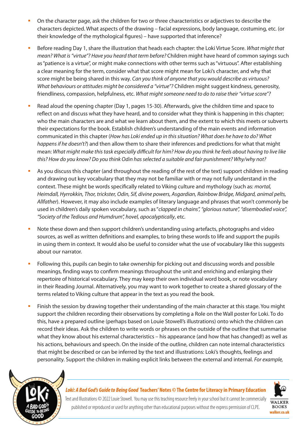- On the character page, ask the children for two or three characteristics or adjectives to describe the characters depicted. What aspects of the drawing – facial expressions, body language, costuming, etc. (or their knowledge of the mythological figures) – have supported that inference?
- Before reading Day 1, share the illustration that heads each chapter: the Loki Virtue Score. *What might that mean? What is "virtue"? Have you heard that term before?* Children might have heard of common sayings such as "patience is a virtue", or might make connections with other terms such as "virtuous". After establishing a clear meaning for the term, consider what that score might mean for Loki's character, and why that score might be being shared in this way. *Can you think of anyone that you would describe as virtuous? What behaviours or attitudes might be considered a "virtue"?* Children might suggest kindness, generosity, friendliness, compassion, helpfulness, etc. *What might someone need to do to raise their "virtue score"?*
- Read aloud the opening chapter (Day 1, pages 15-30). Afterwards, give the children time and space to reflect on and discuss what they have heard, and to consider what they think is happening in this chapter; who the main characters are and what we learn about them, and the extent to which this meets or subverts their expectations for the book. Establish children's understanding of the main events and information communicated in this chapter (*How has Loki ended up in this situation? What does he have to do? What happens if he doesn't?*) and then allow them to share their inferences and predictions for what that might mean: *What might make this task especially difficult for him? How do you think he feels about having to live like this? How do you know? Do you think Odin has selected a suitable and fair punishment? Why/why not?*
- As you discuss this chapter (and throughout the reading of the rest of the text) support children in reading and drawing out key vocabulary that they may not be familiar with or may not fully understand in the context. These might be words specifically related to Viking culture and mythology (such as: *mortal, Heimdall, Hyrrokkin, Thor, trickster, Odin, Sif, divine powers, Asgardian, Rainbow Bridge, Midgard, animal pelts, Allfather*). However, it may also include examples of literary language and phrases that won't commonly be used in children's daily spoken vocabulary, such as "*clapped in chains", "glorious nature", "disembodied voice", "Society of the Tedious and Humdrum", hovel, apocalyptically*, etc.
- Note these down and then support children's understanding using artefacts, photographs and video sources, as well as written definitions and examples, to bring these words to life and support the pupils in using them in context. It would also be useful to consider what the use of vocabulary like this suggests about our narrator.
- Following this, pupils can begin to take ownership for picking out and discussing words and possible meanings, finding ways to confirm meanings throughout the unit and enriching and enlarging their repertoire of historical vocabulary. They may keep their own individual word book, or note vocabulary in their Reading Journal. Alternatively, you may want to work together to create a shared glossary of the terms related to Viking culture that appear in the text as you read the book.
- Finish the session by drawing together their understanding of the main character at this stage. You might support the children recording their observations by completing a Role on the Wall poster for Loki. To do this, have a prepared outline (perhaps based on Louie Stowell's illustrations) onto which the children can record their ideas. Ask the children to write words or phrases on the outside of the outline that summarise what they know about his external characteristics – his appearance (and how that has changed!) as well as his actions, behaviours and speech. On the inside of the outline, children can note internal characteristics that might be described or can be inferred by the text and illustrations: Loki's thoughts, feelings and personality. Support the children in making explicit links between the external and internal. *For example,*



### *Loki: A Bad God's Guide to Being Good* **Teachers' Notes** *©* **The Centre for Literacy in Primary Education**



Text and Illustrations © 2022 Louie Stowell. You may use this teaching resource freely in your school but it cannot be commercially published or reproduced or used for anything other than educational purposes without the express permission of CLPE.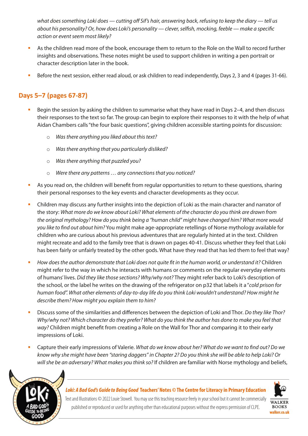*what does something Loki does — cutting off Sif's hair, answering back, refusing to keep the diary — tell us about his personality? Or, how does Loki's personality — clever, selfish, mocking, feeble — make a specific action or event seem most likely?*

- As the children read more of the book, encourage them to return to the Role on the Wall to record further insights and observations. These notes might be used to support children in writing a pen portrait or character description later in the book.
- Before the next session, either read aloud, or ask children to read independently, Days 2, 3 and 4 (pages 31-66).

# **Days 5–7 (pages 67-87)**

- Begin the session by asking the children to summarise what they have read in Days 2–4, and then discuss their responses to the text so far. The group can begin to explore their responses to it with the help of what Aidan Chambers calls "the four basic questions", giving children accessible starting points for discussion:
	- o *Was there anything you liked about this text?*
	- o *Was there anything that you particularly disliked?*
	- o *Was there anything that puzzled you?*
	- o *Were there any patterns … any connections that you noticed?*
- As you read on, the children will benefit from regular opportunities to return to these questions, sharing their personal responses to the key events and character developments as they occur.
- Children may discuss any further insights into the depiction of Loki as the main character and narrator of the story: *What more do we know about Loki? What elements of the character do you think are drawn from the original mythology? How do you think being a "human child" might have changed him? What more would you like to find out about him?* You might make age-appropriate retellings of Norse mythology available for children who are curious about his previous adventures that are regularly hinted at in the text. Children might recreate and add to the family tree that is drawn on pages 40-41. Discuss whether they feel that Loki has been fairly or unfairly treated by the other gods. What have they read that has led them to feel that way?
- *How does the author demonstrate that Loki does not quite fit in the human world, or understand it?* Children might refer to the way in which he interacts with humans or comments on the regular everyday elements of humans' lives. *Did they like those sections? Why/why not?* They might refer back to Loki's description of the school, or the label he writes on the drawing of the refrigerator on p32 that labels it a "*cold prison for human food". What other elements of day-to-day life do you think Loki wouldn't understand? How might he describe them? How might you explain them to him?*
- Discuss some of the similarities and differences between the depiction of Loki and Thor*. Do they like Thor? Why/why not? Which character do they prefer? What do you think the author has done to make you feel that way?* Children might benefit from creating a Role on the Wall for Thor and comparing it to their early impressions of Loki.
- Capture their early impressions of Valerie. *What do we know about her? What do we want to find out? Do we know why she might have been "staring daggers" in Chapter 2? Do you think she will be able to help Loki? Or will she be an adversary? What makes you think so?* If children are familiar with Norse mythology and beliefs,



### *Loki: A Bad God's Guide to Being Good* **Teachers' Notes** *©* **The Centre for Literacy in Primary Education**



Text and Illustrations © 2022 Louie Stowell. You may use this teaching resource freely in your school but it cannot be commercially published or reproduced or used for anything other than educational purposes without the express permission of CLPE.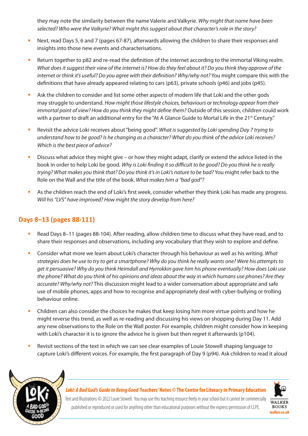they may note the similarity between the name Valerie and Valkyrie. *Why might that name have been selected? Who were the Valkyrie? What might this suggest about that character's role in the story?* 

- Next, read Days 5, 6 and 7 (pages 67-87), afterwards allowing the children to share their responses and insights into those new events and characterisations.
- Return together to p82 and re-read the definition of the internet according to the immortal Viking realm. *What does it suggest their view of the internet is? How do they feel about it? Do you think they approve of the internet or think it's useful? Do you agree with their definition? Why/why not?* You might compare this with the definitions that have already appeared relating to cars (p63), private schools (p46) and jobs (p45).
- Ask the children to consider and list some other aspects of modern life that Loki and the other gods may struggle to understand. *How might those lifestyle choices, behaviours or technology appear from their immortal point of view? How do you think they might define them?* Outside of this session, children could work with a partner to draft an additional entry for the "At A Glance Guide to Mortal Life in the 21<sup>st</sup> Century."
- Revisit the advice Loki receives about "being good". *What is suggested by Loki spending Day 7 trying to understand how to be good? Is he changing as a character? What do you think of the advice Loki receives? Which is the best piece of advice?*
- Discuss what advice they might give or how they might adapt, clarify or extend the advice listed in the book in order to help Loki be good. *Why is Loki finding it so difficult to be good? Do you think he is really trying? What makes you think that? Do you think it's in Loki's nature to be bad?* You might refer back to the Role on the Wall and the title of the book. *What makes him a "bad god"?*
- As the children reach the end of Loki's first week, consider whether they think Loki has made any progress. *Will his "LVS" have improved? How might the story develop from here?*

# **Days 8–13 (pages 88-111)**

- Read Days 8–11 (pages 88-104). After reading, allow children time to discuss what they have read, and to share their responses and observations, including any vocabulary that they wish to explore and define.
- Consider what more we learn about Loki's character through his behaviour as well as his writing. *What strategies does he use to try to get a smartphone? Why do you think he really wants one? Were his attempts to get it persuasive? Why do you think Heimdall and Hyrrokkin gave him his phone eventually? How does Loki use the phone? What do you think of his opinions and ideas about the way in which humans use phones? Are they accurate? Why/why not?* This discussion might lead to a wider conversation about appropriate and safe use of mobile phones, apps and how to recognise and appropriately deal with cyber-bullying or trolling behaviour online.
- Children can also consider the choices he makes that keep losing him more virtue points and how he might reverse this trend, as well as re-reading and discussing his views on shopping during Day 11. Add any new observations to the Role on the Wall poster. For example, children might consider how in keeping with Loki's character it is to ignore the advice he is given but then regret it afterwards (p104).
- Revisit sections of the text in which we can see clear examples of Louie Stowell shaping language to capture Loki's different voices. For example, the first paragraph of Day 9 (p94). Ask children to read it aloud



*Loki: A Bad God's Guide to Being Good* **Teachers' Notes** *©* **The Centre for Literacy in Primary Education**



Text and Illustrations © 2022 Louie Stowell. You may use this teaching resource freely in your school but it cannot be commercially published or reproduced or used for anything other than educational purposes without the express permission of CLPE.

**BOOKS walker.co.uk**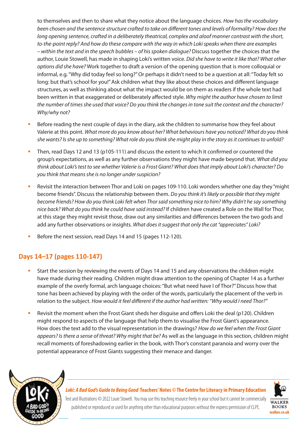to themselves and then to share what they notice about the language choices. *How has the vocabulary been chosen and the sentence structure crafted to take on different tones and levels of formality? How does the long opening sentence, crafted in a deliberately theatrical, complex and aloof manner contrast with the short, to-the-point reply? And how do these compare with the way in which Loki speaks when there are examples – within the text and in the speech bubbles – of his spoken dialogue?* Discuss together the choices that the author, Louie Stowell, has made in shaping Loki's written voice. *Did she have to write it like that? What other options did she have?* Work together to draft a version of the opening question that is more colloquial or informal, e.g. "Why did today feel so long?" Or perhaps it didn't need to be a question at all: "Today felt so long: but that's school for you!" Ask children what they like about these choices and different language structures, as well as thinking about what the impact would be on them as readers if the whole text had been written in that exaggerated or deliberately affected style. *Why might the author have chosen to limit the number of times she used that voice? Do you think the changes in tone suit the context and the character? Why/why not?*

- Before reading the next couple of days in the diary, ask the children to summarise how they feel about Valerie at this point. *What more do you know about her? What behaviours have you noticed? What do you think she wants? Is she up to something? What role do you think she might play in the story as it continues to unfold?*
- Then, read Days 12 and 13 (p105-111) and discuss the extent to which it confirmed or countered the group's expectations, as well as any further observations they might have made beyond that. *What did you think about Loki's test to see whether Valerie is a Frost Giant? What does that imply about Loki's character? Do you think that means she is no longer under suspicion?*
- Revisit the interaction between Thor and Loki on pages 109-110. Loki wonders whether one day they "might become friends". Discuss the relationship between them. *Do you think it's likely or possible that they might become friends? How do you think Loki felt when Thor said something nice to him? Why didn't he say something nice back? What do you think he could have said instead?* If children have created a Role on the Wall for Thor, at this stage they might revisit those, draw out any similarities and differences between the two gods and add any further observations or insights. *What does it suggest that only the cat "appreciates" Loki?*
- Before the next session, read Days 14 and 15 (pages 112-120).

# **Days 14–17 (pages 110-147)**

- Start the session by reviewing the events of Days 14 and 15 and any observations the children might have made during their reading. Children might draw attention to the opening of Chapter 14 as a further example of the overly formal, arch language choices: "But what need have I of Thor?" Discuss how that tone has been achieved by playing with the order of the words, particularly the placement of the verb in relation to the subject. *How would it feel different if the author had written: "Why would I need Thor?"*
- Revisit the moment when the Frost Giant sheds her disguise and offers Loki the deal (p120). Children might respond to aspects of the language that help them to visualise the Frost Giant's appearance. How does the text add to the visual representation in the drawings? *How do we feel when the Frost Giant appears? Is there a sense of threat? Why might that be?* As well as the language in this section, children might recall moments of foreshadowing earlier in the book, with Thor's constant paranoia and worry over the potential appearance of Frost Giants suggesting their menace and danger.



#### *Loki: A Bad God's Guide to Being Good* **Teachers' Notes** *©* **The Centre for Literacy in Primary Education**



Text and Illustrations © 2022 Louie Stowell. You may use this teaching resource freely in your school but it cannot be commercially published or reproduced or used for anything other than educational purposes without the express permission of CLPE.

**BOOKS walker.co.uk**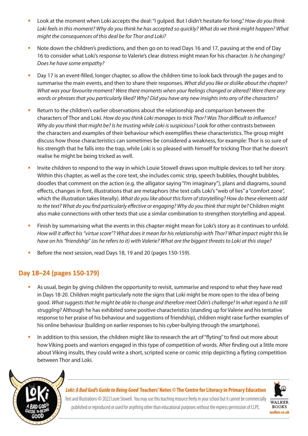- Look at the moment when Loki accepts the deal: "I gulped. But I didn't hesitate for long." *How do you think Loki feels in this moment? Why do you think he has accepted so quickly? What do we think might happen? What might the consequences of this deal be for Thor and Loki?*
- Note down the children's predictions, and then go on to read Days 16 and 17, pausing at the end of Day 16 to consider what Loki's response to Valerie's clear distress might mean for his character. *Is he changing? Does he have some empathy?*
- Day 17 is an event-filled, longer chapter, so allow the children time to look back through the pages and to summarise the main events, and then to share their responses. *What did you like or dislike about the chapter? What was your favourite moment? Were there moments when your feelings changed or altered? Were there any words or phrases that you particularly liked? Why? Did you have any new insights into any of the characters?*
- Return to the children's earlier observations about the relationship and comparison between the characters of Thor and Loki. *How do you think Loki manages to trick Thor? Was Thor difficult to influence? Why do you think that might be? Is he trusting while Loki is suspicious?* Look for other contrasts between the characters and examples of their behaviour which exemplifies these characteristics. The group might discuss how those characteristics can sometimes be considered a weakness, for example: Thor is so sure of his strength that he falls into the trap, while Loki is so pleased with himself for tricking Thor that he doesn't realise he might be being tricked as well.
- Invite children to respond to the way in which Louie Stowell draws upon multiple devices to tell her story. Within this chapter, as well as the core text, she includes comic strip, speech bubbles, thought bubbles, doodles that comment on the action (e.g. the alligator saying "I'm imaginary"), plans and diagrams, sound effects, changes in font, illustrations that are metaphors (the text calls Loki's "web of lies" a "comfort zone", which the illustration takes literally). *What do you like about this form of storytelling? How do these elements add to the text? What do you find particularly effective or engaging? Why do you think that might be?* Children might also make connections with other texts that use a similar combination to strengthen storytelling and appeal.
- Finish by summarising what the events in this chapter might mean for Loki's story as it continues to unfold. *How will it affect his "virtue score"? What does it mean for his relationship with Thor? What impact might this lie have on his "friendship" (as he refers to it) with Valerie? What are the biggest threats to Loki at this stage?*
- Before the next session, read Days 18, 19 and 20 (pages 150-159).

### **Day 18–24 (pages 150-179)**

- As usual, begin by giving children the opportunity to revisit, summarise and respond to what they have read in Days 18-20. Children might particularly note the signs that Loki might be more open to the idea of being good. *What suggests that he might be able to change and therefore meet Odin's challenge? In what regard is he still struggling?* Although he has exhibited some positive characteristics (standing up for Valerie and his tentative response to her praise of his behaviour and suggestions of friendship), children might raise further examples of his online behaviour (building on earlier responses to his cyber-bullying through the smartphone).
- In addition to this session, the children might like to research the art of "flyting" to find out more about how Viking poets and warriors engaged in this type of competition of words. After finding out a little more about Viking insults, they could write a short, scripted scene or comic strip depicting a flyting competition between Thor and Loki.



#### *Loki: A Bad God's Guide to Being Good* **Teachers' Notes** *©* **The Centre for Literacy in Primary Education**



Text and Illustrations © 2022 Louie Stowell. You may use this teaching resource freely in your school but it cannot be commercially published or reproduced or used for anything other than educational purposes without the express permission of CLPE.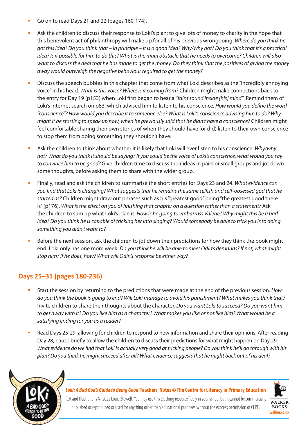- Go on to read Days 21 and 22 (pages 160-174).
- Ask the children to discuss their response to Loki's plan: to give lots of money to charity in the hope that this benevolent act of philanthropy will make up for all of his previous wrongdoing. *Where do you think he got this idea? Do you think that – in principle – it is a good idea? Why/why not? Do you think that it's a practical idea? Is it possible for him to do this? What is the main obstacle that he needs to overcome? Children will also want to discuss the deal that he has made to get the money. Do they think that the positives of giving the money away would outweigh the negative behaviour required to get the money?*
- Discuss the speech bubbles in this chapter that come from what Loki describes as the "incredibly annoying voice" in his head. *What is this voice? Where is it coming from?* Children might make connections back to the entry for Day 19 (p153) when Loki first began to hear a *"faint sound inside [his] mind"*. Remind them of Loki's internet search on p83, which advised him to listen to his conscience*. How would you define the word "conscience"? How would you describe it to someone else? What is Loki's conscience advising him to do? Why might it be starting to speak up now, when he previously said that he didn't have a conscience?* Children might feel comfortable sharing their own stories of when they should have (or did) listen to their own conscience to stop them from doing something they shouldn't have.
- Ask the children to think about whether it is likely that Loki will ever listen to his conscience. *Why/why not? What do you think it should be saying? If you could be the voice of Loki's conscience, what would you say to convince him to be good?* Give children time to discuss their ideas in pairs or small groups and jot down some thoughts, before asking them to share with the wider group.
- Finally, read and ask the children to summarise the short entries for Days 23 and 24. *What evidence can you find that Loki is changing? What suggests that he remains the same selfish and self-obsessed god that he started as?* Children might draw out phrases such as his "greatest good" being "the greatest good there is" (p176). What is the effect on you of finishing that chapter on a question rather than a statement? Ask the children to sum up what Loki's plan is. *How is he going to embarrass Valerie? Why might this be a bad idea? Do you think he is capable of tricking her into singing? Would somebody be able to trick you into doing something you didn't want to?*
- Before the next session, ask the children to jot down their predictions for how they think the book might end. Loki only has one more week. *Do you think he will be able to meet Odin's demands? If not, what might stop him? If he does, how? What will Odin's response be either way?*

# **Days 25–31 (pages 180-236)**

- Start the session by returning to the predictions that were made at the end of the previous session. *How do you think the book is going to end? Will Loki manage to avoid his punishment? What makes you think that?*  Invite children to share their thoughts about the character. *Do you want Loki to succeed? Do you want him to get away with it? Do you like him as a character? What makes you like or not like him? What would be a satisfying ending for you as a reader?*
- Read Days 25-29, allowing for children to respond to new information and share their opinions. After reading Day 28, pause briefly to allow the children to discuss their predictions for what might happen on Day 29: *What evidence do we find that Loki is actually very good at tricking people? Do you think he'll go through with his plan? Do you think he might succeed after all? What evidence suggests that he might back out of his deal?*



#### *Loki: A Bad God's Guide to Being Good* **Teachers' Notes** *©* **The Centre for Literacy in Primary Education**



Text and Illustrations © 2022 Louie Stowell. You may use this teaching resource freely in your school but it cannot be commercially published or reproduced or used for anything other than educational purposes without the express permission of CLPE.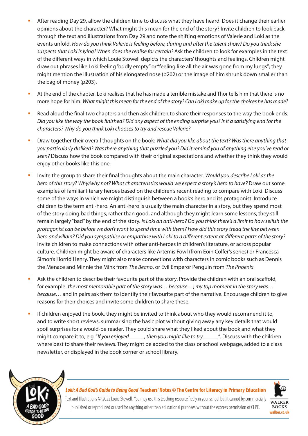- After reading Day 29, allow the children time to discuss what they have heard. Does it change their earlier opinions about the character? What might this mean for the end of the story? Invite children to look back through the text and illustrations from Day 29 and note the shifting emotions of Valerie and Loki as the events unfold. *How do you think Valerie is feeling before, during and after the talent show? Do you think she suspects that Loki is lying? When does she realise for certain?* Ask the children to look for examples in the text of the different ways in which Louie Stowell depicts the characters' thoughts and feelings. Children might draw out phrases like Loki feeling "oddly empty" or "feeling like all the air was gone from my lungs"; they might mention the illustration of his elongated nose (p202) or the image of him shrunk down smaller than the bag of money (p203).
- At the end of the chapter, Loki realises that he has made a terrible mistake and Thor tells him that there is no more hope for him. *What might this mean for the end of the story? Can Loki make up for the choices he has made?*
- Read aloud the final two chapters and then ask children to share their responses to the way the book ends. *Did you like the way the book finished? Did any aspect of the ending surprise you? Is it a satisfying end for the characters? Why do you think Loki chooses to try and rescue Valerie?*
- Draw together their overall thoughts on the book: *What did you like about the text? Was there anything that you particularly disliked? Was there anything that puzzled you? Did it remind you of anything else you've read or seen?* Discuss how the book compared with their original expectations and whether they think they would enjoy other books like this one.
- Invite the group to share their final thoughts about the main character. *Would you describe Loki as the hero of this story? Why/why not? What characteristics would we expect a story's hero to have? Draw out some* examples of familiar literary heroes based on the children's recent reading to compare with Loki. Discuss some of the ways in which we might distinguish between a book's hero and its protagonist. Introduce children to the term anti-hero. An anti-hero is usually the main character in a story, but they spend most of the story doing bad things, rather than good, and although they might learn some lessons, they still remain largely "bad" by the end of the story. *Is Loki an anti-hero? Do you think there's a limit to how selfish the protagonist can be before we don't want to spend time with them? How did this story tread the line between hero and villain? Did you sympathise or empathise with Loki to a different extent at different parts of the story?* Invite children to make connections with other anti-heroes in children's literature, or across popular culture. Children might be aware of characters like Artemis Fowl (from Eoin Colfer's series) or Francesca Simon's Horrid Henry. They might also make connections with characters in comic books such as Dennis the Menace and Minnie the Minx from *The Beano*, or Evil Emperor Penguin from *The Phoenix*.
- Ask the children to describe their favourite part of the story. Provide the children with an oral scaffold, for example: *the most memorable part of the story was… because…*; *my top moment in the story was… because…* and in pairs ask them to identify their favourite part of the narrative. Encourage children to give reasons for their choices and invite some children to share these.
- If children enjoyed the book, they might be invited to think about who they would recommend it to, and to write short reviews, summarising the basic plot without giving away any key details that would spoil surprises for a would-be reader. They could share what they liked about the book and what they might compare it to, e.g. "*If you enjoyed \_\_\_\_\_, then you might like to try \_\_\_\_\_"*. Discuss with the children where best to share their reviews. They might be added to the class or school webpage, added to a class newsletter, or displayed in the book corner or school library.



*Loki: A Bad God's Guide to Being Good* **Teachers' Notes** *©* **The Centre for Literacy in Primary Education**



Text and Illustrations © 2022 Louie Stowell. You may use this teaching resource freely in your school but it cannot be commercially published or reproduced or used for anything other than educational purposes without the express permission of CLPE.

**BOOKS walker.co.uk**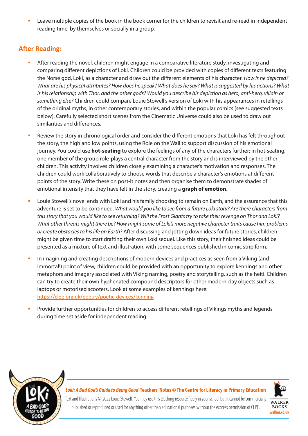Leave multiple copies of the book in the book corner for the children to revisit and re-read in independent reading time, by themselves or socially in a group.

## **After Reading:**

- After reading the novel, children might engage in a comparative literature study, investigating and comparing different depictions of Loki. Children could be provided with copies of different texts featuring the Norse god, Loki, as a character and draw out the different elements of his character*. How is he depicted? What are his physical attributes? How does he speak? What does he say? What is suggested by his actions? What is his relationship with Thor, and the other gods? Would you describe his depiction as hero, anti-hero, villain or something else?* Children could compare Louie Stowell's version of Loki with his appearances in retellings of the original myths, in other contemporary stories, and within the popular comics (see suggested texts below). Carefully selected short scenes from the Cinematic Universe could also be used to draw out similarities and differences.
- Review the story in chronological order and consider the different emotions that Loki has felt throughout the story, the high and low points, using the Role on the Wall to support discussion of his emotional journey. You could use **hot-seating** to explore the feelings of any of the characters further; in hot-seating, one member of the group role-plays a central character from the story and is interviewed by the other children. This activity involves children closely examining a character's motivation and responses. The children could work collaboratively to choose words that describe a character's emotions at different points of the story. Write these on post-it notes and then organise them to demonstrate shades of emotional intensity that they have felt in the story, creating a **graph of emotion**.
- Louie Stowell's novel ends with Loki and his family choosing to remain on Earth, and the assurance that this adventure is set to be continued. *What would you like to see from a future Loki story? Are there characters from this story that you would like to see returning? Will the Frost Giants try to take their revenge on Thor and Loki? What other threats might there be? How might some of Loki's more negative character traits cause him problems or create obstacles to his life on Earth?* After discussing and jotting down ideas for future stories, children might be given time to start drafting their own Loki sequel. Like this story, their finished ideas could be presented as a mixture of text and illustration, with some sequences published in comic strip form.
- In imagining and creating descriptions of modern devices and practices as seen from a Viking (and immortal!) point of view, children could be provided with an opportunity to explore kennings and other metaphors and imagery associated with Viking naming, poetry and storytelling, such as the heiti. Children can try to create their own hyphenated compound descriptors for other modern-day objects such as laptops or motorised scooters. Look at some examples of kennings here: https://clpe.org.uk/poetry/poetic-devices/kenning
- Provide further opportunities for children to access different retellings of Vikings myths and legends during time set aside for independent reading.



*Loki: A Bad God's Guide to Being Good* **Teachers' Notes** *©* **The Centre for Literacy in Primary Education**



**walker.co.uk**

Text and Illustrations © 2022 Louie Stowell. You may use this teaching resource freely in your school but it cannot be commercially published or reproduced or used for anything other than educational purposes without the express permission of CLPE.